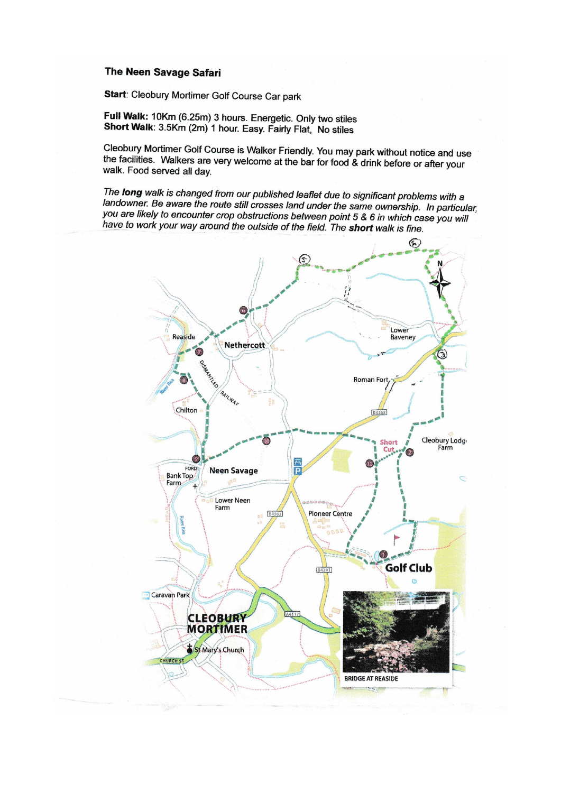## The Neen Savage Safari

Start: Cleobury Mortimer Golf Course Car park

Full Walk: 10Km (6.25m) 3 hours. Energetic. Only two stiles Short Walk: 3.5Km (2m) 1 hour. Easy. Fairly Flat, No stiles

Cleobury Mortimer Golf Course is Walker Friendly. You may park without notice and use the facilities. Walkers are very welcome at the bar for food & drink before or after your walk. Food served all day.

The long walk is changed from our published leaflet due to significant problems with a landowner. Be aware the route still crosses land under the same ownership. In particular, you are likely to encounter crop obstructions between point 5 & 6 in which case you will have to work your way around the outside of the field. The short walk is fine.